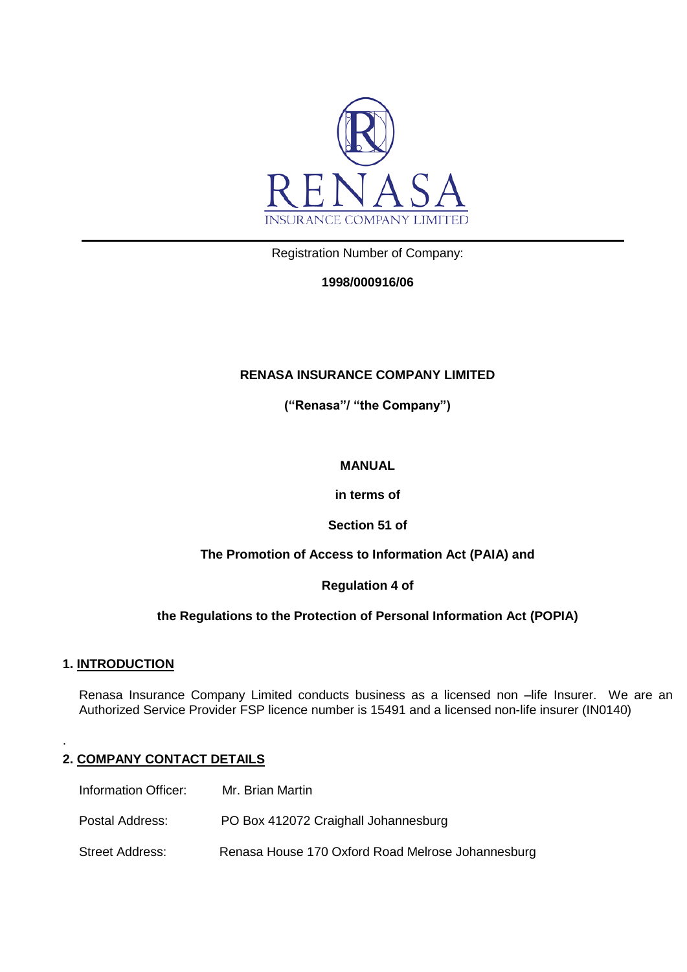

Registration Number of Company:

# **1998/000916/06**

# **RENASA INSURANCE COMPANY LIMITED**

**("Renasa"/ "the Company")**

### **MANUAL**

**in terms of**

### **Section 51 of**

### **The Promotion of Access to Information Act (PAIA) and**

### **Regulation 4 of**

### **the Regulations to the Protection of Personal Information Act (POPIA)**

### **1. INTRODUCTION**

.

Renasa Insurance Company Limited conducts business as a licensed non –life Insurer. We are an Authorized Service Provider FSP licence number is 15491 and a licensed non-life insurer (IN0140)

# **2. COMPANY CONTACT DETAILS**

Information Officer: Mr. Brian Martin Postal Address: PO Box 412072 Craighall Johannesburg Street Address: Renasa House 170 Oxford Road Melrose Johannesburg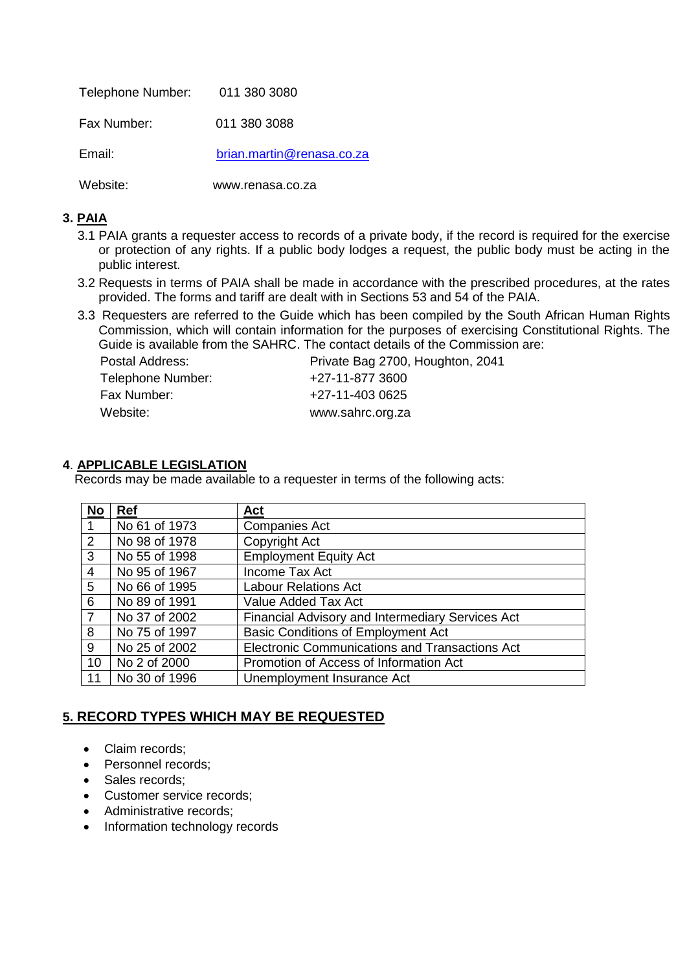| Telephone Number: 011 380 3080 |                           |
|--------------------------------|---------------------------|
| Fax Number:                    | 011 380 3088              |
| Email:                         | brian.martin@renasa.co.za |

Website: www.renasa.co.za

# **3. PAIA**

- 3.1 PAIA grants a requester access to records of a private body, if the record is required for the exercise or protection of any rights. If a public body lodges a request, the public body must be acting in the public interest.
- 3.2 Requests in terms of PAIA shall be made in accordance with the prescribed procedures, at the rates provided. The forms and tariff are dealt with in Sections 53 and 54 of the PAIA.
- 3.3 Requesters are referred to the Guide which has been compiled by the South African Human Rights Commission, which will contain information for the purposes of exercising Constitutional Rights. The Guide is available from the SAHRC. The contact details of the Commission are:

| Postal Address:   | Private Bag 2700, Houghton, 2041 |
|-------------------|----------------------------------|
| Telephone Number: | +27-11-877 3600                  |
| Fax Number:       | +27-11-403 0625                  |
| Website:          | www.sahrc.org.za                 |

# **4**. **APPLICABLE LEGISLATION**

Records may be made available to a requester in terms of the following acts:

| <b>No</b>      | Ref           | Act                                                     |
|----------------|---------------|---------------------------------------------------------|
| -1             | No 61 of 1973 | <b>Companies Act</b>                                    |
| 2              | No 98 of 1978 | Copyright Act                                           |
| 3              | No 55 of 1998 | <b>Employment Equity Act</b>                            |
| 4              | No 95 of 1967 | Income Tax Act                                          |
| 5              | No 66 of 1995 | <b>Labour Relations Act</b>                             |
| 6              | No 89 of 1991 | Value Added Tax Act                                     |
| $\overline{7}$ | No 37 of 2002 | <b>Financial Advisory and Intermediary Services Act</b> |
| 8              | No 75 of 1997 | <b>Basic Conditions of Employment Act</b>               |
| 9              | No 25 of 2002 | <b>Electronic Communications and Transactions Act</b>   |
| 10             | No 2 of 2000  | Promotion of Access of Information Act                  |
| 11             | No 30 of 1996 | Unemployment Insurance Act                              |

# **5. RECORD TYPES WHICH MAY BE REQUESTED**

- Claim records;
- Personnel records:
- Sales records:
- Customer service records;
- Administrative records;
- Information technology records